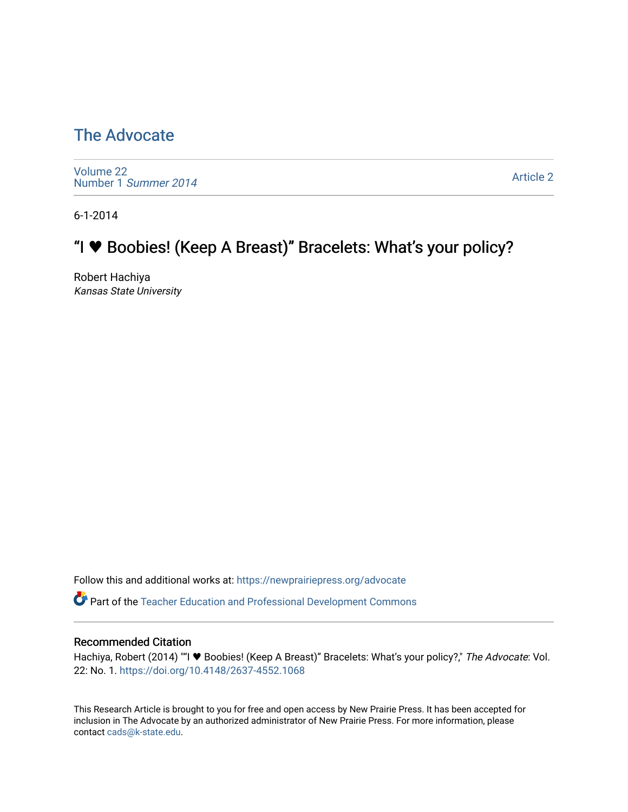## [The Advocate](https://newprairiepress.org/advocate)

[Volume 22](https://newprairiepress.org/advocate/vol22) [Number 1](https://newprairiepress.org/advocate/vol22/iss1) Summer 2014

[Article 2](https://newprairiepress.org/advocate/vol22/iss1/2) 

6-1-2014

# "I **\*** Boobies! (Keep A Breast)" Bracelets: What's your policy?

Robert Hachiya Kansas State University

Follow this and additional works at: [https://newprairiepress.org/advocate](https://newprairiepress.org/advocate?utm_source=newprairiepress.org%2Fadvocate%2Fvol22%2Fiss1%2F2&utm_medium=PDF&utm_campaign=PDFCoverPages) 

Part of the [Teacher Education and Professional Development Commons](http://network.bepress.com/hgg/discipline/803?utm_source=newprairiepress.org%2Fadvocate%2Fvol22%2Fiss1%2F2&utm_medium=PDF&utm_campaign=PDFCoverPages) 

#### Recommended Citation

Hachiya, Robert (2014) ""I ♥ Boobies! (Keep A Breast)" Bracelets: What's your policy?," The Advocate: Vol. 22: No. 1. <https://doi.org/10.4148/2637-4552.1068>

This Research Article is brought to you for free and open access by New Prairie Press. It has been accepted for inclusion in The Advocate by an authorized administrator of New Prairie Press. For more information, please contact [cads@k-state.edu](mailto:cads@k-state.edu).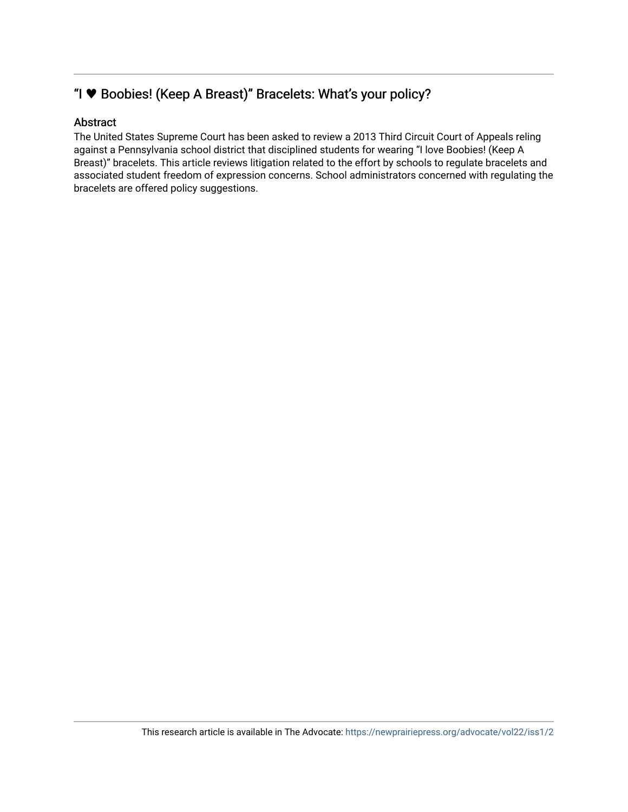#### "I **\*** Boobies! (Keep A Breast)" Bracelets: What's your policy?

#### Abstract

The United States Supreme Court has been asked to review a 2013 Third Circuit Court of Appeals reling against a Pennsylvania school district that disciplined students for wearing "I love Boobies! (Keep A Breast)" bracelets. This article reviews litigation related to the effort by schools to regulate bracelets and associated student freedom of expression concerns. School administrators concerned with regulating the bracelets are offered policy suggestions.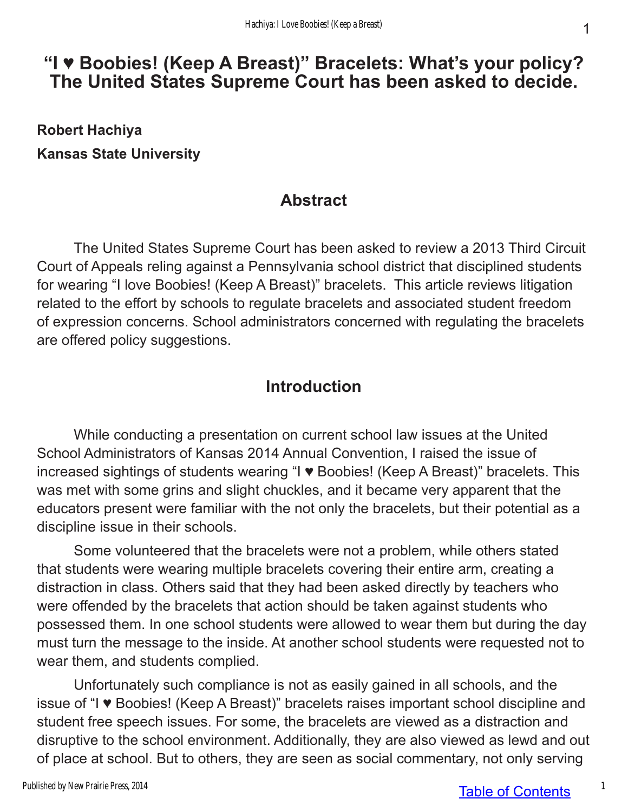# **"I ♥ Boobies! (Keep A Breast)" Bracelets: What's your policy? The United States Supreme Court has been asked to decide.**

**Robert Hachiya Kansas State University**

### **Abstract**

The United States Supreme Court has been asked to review a 2013 Third Circuit Court of Appeals reling against a Pennsylvania school district that disciplined students for wearing "I love Boobies! (Keep A Breast)" bracelets. This article reviews litigation related to the effort by schools to regulate bracelets and associated student freedom of expression concerns. School administrators concerned with regulating the bracelets are offered policy suggestions.

## **Introduction**

While conducting a presentation on current school law issues at the United School Administrators of Kansas 2014 Annual Convention, I raised the issue of increased sightings of students wearing "I ♥ Boobies! (Keep A Breast)" bracelets. This was met with some grins and slight chuckles, and it became very apparent that the educators present were familiar with the not only the bracelets, but their potential as a discipline issue in their schools.

Some volunteered that the bracelets were not a problem, while others stated that students were wearing multiple bracelets covering their entire arm, creating a distraction in class. Others said that they had been asked directly by teachers who were offended by the bracelets that action should be taken against students who possessed them. In one school students were allowed to wear them but during the day must turn the message to the inside. At another school students were requested not to wear them, and students complied.

Unfortunately such compliance is not as easily gained in all schools, and the issue of "I ♥ Boobies! (Keep A Breast)" bracelets raises important school discipline and student free speech issues. For some, the bracelets are viewed as a distraction and disruptive to the school environment. Additionally, they are also viewed as lewd and out of place at school. But to others, they are seen as social commentary, not only serving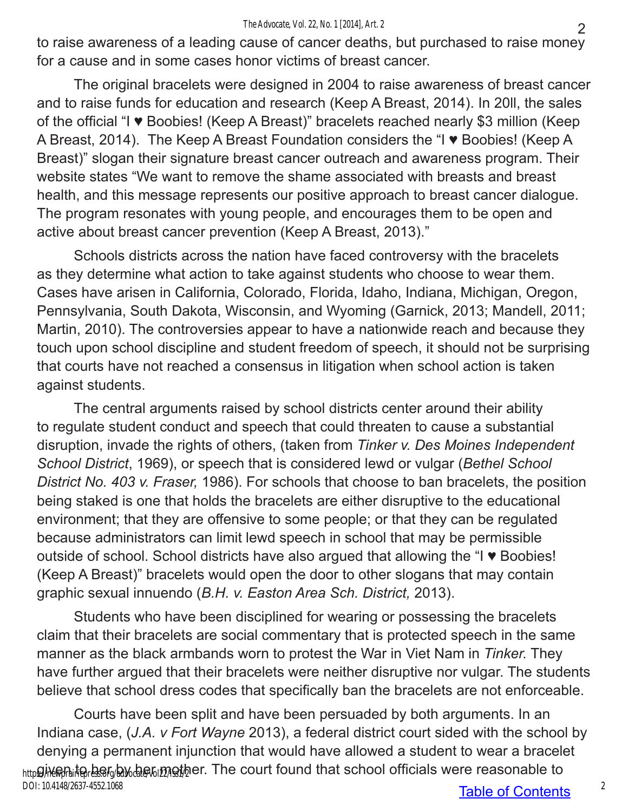to raise awareness of a leading cause of cancer deaths, but purchased to raise money for a cause and in some cases honor victims of breast cancer.

The original bracelets were designed in 2004 to raise awareness of breast cancer and to raise funds for education and research (Keep A Breast, 2014). In 20ll, the sales of the official "I ♥ Boobies! (Keep A Breast)" bracelets reached nearly \$3 million (Keep A Breast, 2014). The Keep A Breast Foundation considers the "I ♥ Boobies! (Keep A Breast)" slogan their signature breast cancer outreach and awareness program. Their website states "We want to remove the shame associated with breasts and breast health, and this message represents our positive approach to breast cancer dialogue. The program resonates with young people, and encourages them to be open and active about breast cancer prevention (Keep A Breast, 2013)."

Schools districts across the nation have faced controversy with the bracelets as they determine what action to take against students who choose to wear them. Cases have arisen in California, Colorado, Florida, Idaho, Indiana, Michigan, Oregon, Pennsylvania, South Dakota, Wisconsin, and Wyoming (Garnick, 2013; Mandell, 2011; Martin, 2010). The controversies appear to have a nationwide reach and because they touch upon school discipline and student freedom of speech, it should not be surprising that courts have not reached a consensus in litigation when school action is taken against students.

The central arguments raised by school districts center around their ability to regulate student conduct and speech that could threaten to cause a substantial disruption, invade the rights of others, (taken from *Tinker v. Des Moines Independent School District*, 1969), or speech that is considered lewd or vulgar (*Bethel School District No. 403 v. Fraser,* 1986). For schools that choose to ban bracelets, the position being staked is one that holds the bracelets are either disruptive to the educational environment; that they are offensive to some people; or that they can be regulated because administrators can limit lewd speech in school that may be permissible outside of school. School districts have also argued that allowing the "I ♥ Boobies! (Keep A Breast)" bracelets would open the door to other slogans that may contain graphic sexual innuendo (*B.H. v. Easton Area Sch. District,* 2013).

Students who have been disciplined for wearing or possessing the bracelets claim that their bracelets are social commentary that is protected speech in the same manner as the black armbands worn to protest the War in Viet Nam in *Tinker.* They have further argued that their bracelets were neither disruptive nor vulgar. The students believe that school dress codes that specifically ban the bracelets are not enforceable.

Courts have been split and have been persuaded by both arguments. In an Indiana case, (*J.A. v Fort Wayne* 2013), a federal district court sided with the school by denying a permanent injunction that would have allowed a student to wear a bracelet  $_{\rm http}$ ց)ֈ֎֎ֈդ.։to, ber, by փեշտ $p$  կան արդացել and that school officials were reasonable to DOI: 10.4148/2637-4552.1068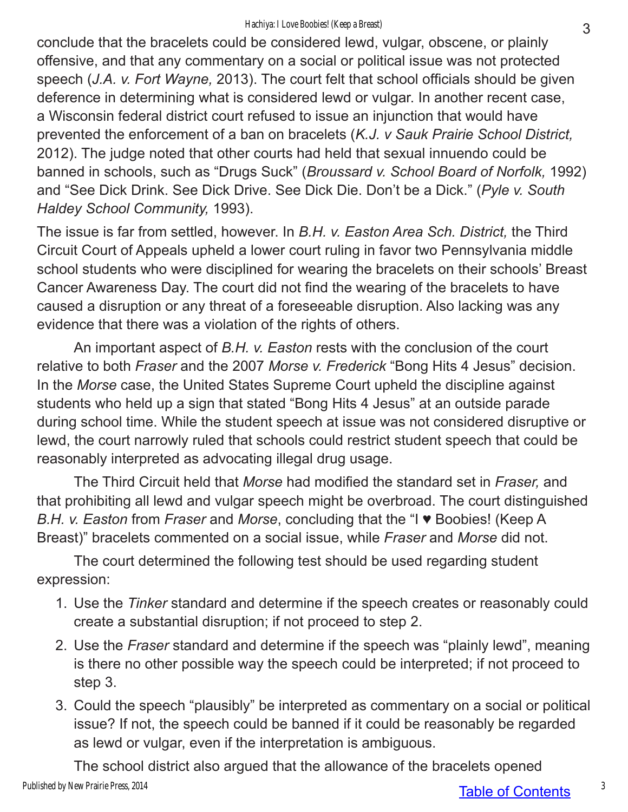conclude that the bracelets could be considered lewd, vulgar, obscene, or plainly offensive, and that any commentary on a social or political issue was not protected speech (*J.A. v. Fort Wayne,* 2013). The court felt that school officials should be given deference in determining what is considered lewd or vulgar. In another recent case, a Wisconsin federal district court refused to issue an injunction that would have prevented the enforcement of a ban on bracelets (*K.J. v Sauk Prairie School District,*  2012). The judge noted that other courts had held that sexual innuendo could be banned in schools, such as "Drugs Suck" (*Broussard v. School Board of Norfolk,* 1992) and "See Dick Drink. See Dick Drive. See Dick Die. Don't be a Dick." (*Pyle v. South Haldey School Community,* 1993).

The issue is far from settled, however. In *B.H. v. Easton Area Sch. District,* the Third Circuit Court of Appeals upheld a lower court ruling in favor two Pennsylvania middle school students who were disciplined for wearing the bracelets on their schools' Breast Cancer Awareness Day. The court did not find the wearing of the bracelets to have caused a disruption or any threat of a foreseeable disruption. Also lacking was any evidence that there was a violation of the rights of others.

An important aspect of *B.H. v. Easton* rests with the conclusion of the court relative to both *Fraser* and the 2007 *Morse v. Frederick* "Bong Hits 4 Jesus" decision. In the *Morse* case, the United States Supreme Court upheld the discipline against students who held up a sign that stated "Bong Hits 4 Jesus" at an outside parade during school time. While the student speech at issue was not considered disruptive or lewd, the court narrowly ruled that schools could restrict student speech that could be reasonably interpreted as advocating illegal drug usage.

The Third Circuit held that *Morse* had modified the standard set in *Fraser,* and that prohibiting all lewd and vulgar speech might be overbroad. The court distinguished *B.H. v. Easton* from *Fraser* and *Morse*, concluding that the "I ♥ Boobies! (Keep A Breast)" bracelets commented on a social issue, while *Fraser* and *Morse* did not.

The court determined the following test should be used regarding student expression:

- 1. Use the *Tinker* standard and determine if the speech creates or reasonably could create a substantial disruption; if not proceed to step 2.
- 2. Use the *Fraser* standard and determine if the speech was "plainly lewd", meaning is there no other possible way the speech could be interpreted; if not proceed to step 3.
- 3. Could the speech "plausibly" be interpreted as commentary on a social or political issue? If not, the speech could be banned if it could be reasonably be regarded as lewd or vulgar, even if the interpretation is ambiguous.

The school district also argued that the allowance of the bracelets opened Published by New Prairie Press, 2014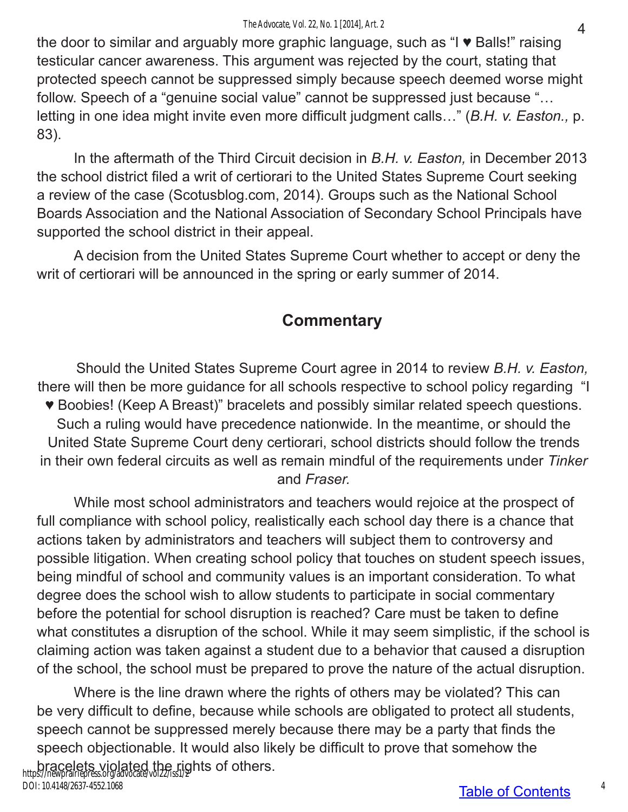the door to similar and arguably more graphic language, such as "I ♥ Balls!" raising testicular cancer awareness. This argument was rejected by the court, stating that protected speech cannot be suppressed simply because speech deemed worse might follow. Speech of a "genuine social value" cannot be suppressed just because "… letting in one idea might invite even more difficult judgment calls…" (*B.H. v. Easton.,* p. 83).

In the aftermath of the Third Circuit decision in *B.H. v. Easton,* in December 2013 the school district filed a writ of certiorari to the United States Supreme Court seeking a review of the case (Scotusblog.com, 2014). Groups such as the National School Boards Association and the National Association of Secondary School Principals have supported the school district in their appeal.

A decision from the United States Supreme Court whether to accept or deny the writ of certiorari will be announced in the spring or early summer of 2014.

# **Commentary**

Should the United States Supreme Court agree in 2014 to review *B.H. v. Easton,* there will then be more guidance for all schools respective to school policy regarding "I ♥ Boobies! (Keep A Breast)" bracelets and possibly similar related speech questions. Such a ruling would have precedence nationwide. In the meantime, or should the United State Supreme Court deny certiorari, school districts should follow the trends in their own federal circuits as well as remain mindful of the requirements under *Tinker* and *Fraser.*

While most school administrators and teachers would rejoice at the prospect of full compliance with school policy, realistically each school day there is a chance that actions taken by administrators and teachers will subject them to controversy and possible litigation. When creating school policy that touches on student speech issues, being mindful of school and community values is an important consideration. To what degree does the school wish to allow students to participate in social commentary before the potential for school disruption is reached? Care must be taken to define what constitutes a disruption of the school. While it may seem simplistic, if the school is claiming action was taken against a student due to a behavior that caused a disruption of the school, the school must be prepared to prove the nature of the actual disruption.

Where is the line drawn where the rights of others may be violated? This can be very difficult to define, because while schools are obligated to protect all students, speech cannot be suppressed merely because there may be a party that finds the speech objectionable. It would also likely be difficult to prove that somehow the bracelets violated the rights of others. https://newprairiepress.org/advocate/vol22/iss1/2 DOI: 10.4148/2637-4552.1068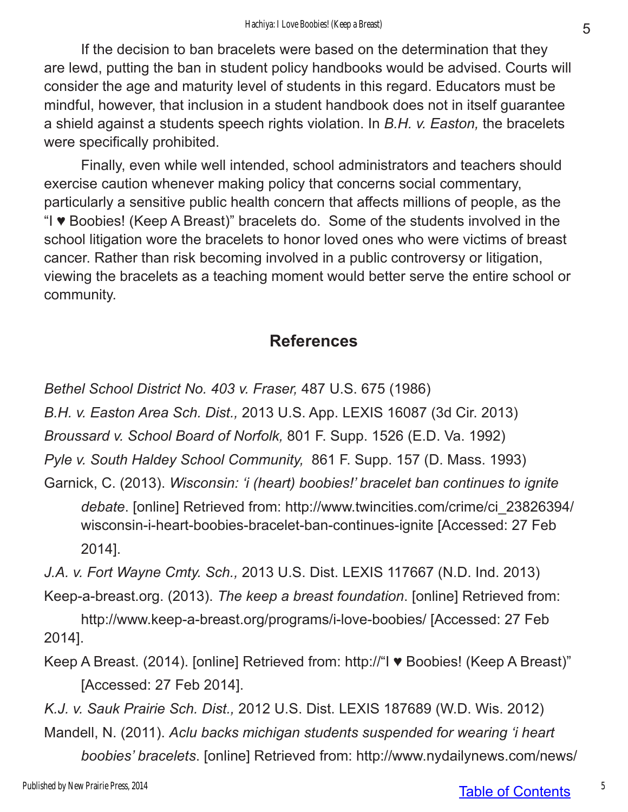If the decision to ban bracelets were based on the determination that they are lewd, putting the ban in student policy handbooks would be advised. Courts will consider the age and maturity level of students in this regard. Educators must be mindful, however, that inclusion in a student handbook does not in itself guarantee a shield against a students speech rights violation. In *B.H. v. Easton,* the bracelets were specifically prohibited.

Finally, even while well intended, school administrators and teachers should exercise caution whenever making policy that concerns social commentary, particularly a sensitive public health concern that affects millions of people, as the "I ♥ Boobies! (Keep A Breast)" bracelets do. Some of the students involved in the school litigation wore the bracelets to honor loved ones who were victims of breast cancer. Rather than risk becoming involved in a public controversy or litigation, viewing the bracelets as a teaching moment would better serve the entire school or community.

### **References**

*Bethel School District No. 403 v. Fraser,* 487 U.S. 675 (1986)

*B.H. v. Easton Area Sch. Dist.,* 2013 U.S. App. LEXIS 16087 (3d Cir. 2013)

*Broussard v. School Board of Norfolk,* 801 F. Supp. 1526 (E.D. Va. 1992)

*Pyle v. South Haldey School Community,* 861 F. Supp. 157 (D. Mass. 1993)

Garnick, C. (2013). *Wisconsin: 'i (heart) boobies!' bracelet ban continues to ignite debate*. [online] Retrieved from: http://www.twincities.com/crime/ci\_23826394/ wisconsin-i-heart-boobies-bracelet-ban-continues-ignite [Accessed: 27 Feb 2014].

*J.A. v. Fort Wayne Cmty. Sch.,* 2013 U.S. Dist. LEXIS 117667 (N.D. Ind. 2013)

Keep-a-breast.org. (2013). *The keep a breast foundation*. [online] Retrieved from:

http://www.keep-a-breast.org/programs/i-love-boobies/ [Accessed: 27 Feb 2014].

Keep A Breast. (2014). [online] Retrieved from: http://"I ♥ Boobies! (Keep A Breast)" [Accessed: 27 Feb 2014].

*K.J. v. Sauk Prairie Sch. Dist.,* 2012 U.S. Dist. LEXIS 187689 (W.D. Wis. 2012) Mandell, N. (2011). *Aclu backs michigan students suspended for wearing 'i heart boobies' bracelets*. [online] Retrieved from: http://www.nydailynews.com/news/